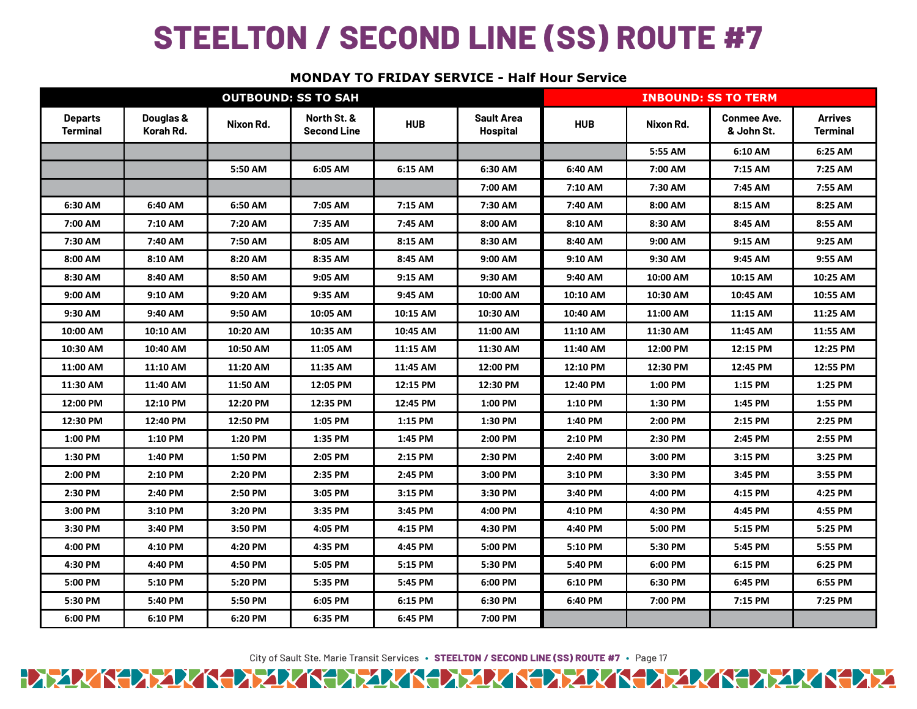# **STEELTON / SECOND LINE (SS) ROUTE #7**

# **MONDAY TO FRIDAY SERVICE - Half Hour Service**

| <b>OUTBOUND: SS TO SAH</b>        |                        |           |                                   |            |                                      | <b>INBOUND: SS TO TERM</b> |           |                                  |                                   |
|-----------------------------------|------------------------|-----------|-----------------------------------|------------|--------------------------------------|----------------------------|-----------|----------------------------------|-----------------------------------|
| <b>Departs</b><br><b>Terminal</b> | Douglas &<br>Korah Rd. | Nixon Rd. | North St. &<br><b>Second Line</b> | <b>HUB</b> | <b>Sault Area</b><br><b>Hospital</b> | <b>HUB</b>                 | Nixon Rd. | <b>Conmee Ave.</b><br>& John St. | <b>Arrives</b><br><b>Terminal</b> |
|                                   |                        |           |                                   |            |                                      |                            | 5:55 AM   | 6:10 AM                          | 6:25 AM                           |
|                                   |                        | 5:50 AM   | 6:05 AM                           | 6:15 AM    | 6:30 AM                              | 6:40 AM                    | 7:00 AM   | 7:15 AM                          | 7:25 AM                           |
|                                   |                        |           |                                   |            | 7:00 AM                              | 7:10 AM                    | 7:30 AM   | 7:45 AM                          | 7:55 AM                           |
| 6:30 AM                           | 6:40 AM                | 6:50 AM   | 7:05 AM                           | 7:15 AM    | 7:30 AM                              | 7:40 AM                    | 8:00 AM   | 8:15 AM                          | 8:25 AM                           |
| 7:00 AM                           | 7:10 AM                | 7:20 AM   | 7:35 AM                           | 7:45 AM    | 8:00 AM                              | 8:10 AM                    | 8:30 AM   | 8:45 AM                          | 8:55 AM                           |
| 7:30 AM                           | 7:40 AM                | 7:50 AM   | 8:05 AM                           | 8:15 AM    | 8:30 AM                              | 8:40 AM                    | 9:00 AM   | 9:15 AM                          | 9:25 AM                           |
| 8:00 AM                           | 8:10 AM                | 8:20 AM   | 8:35 AM                           | 8:45 AM    | 9:00 AM                              | 9:10 AM                    | 9:30 AM   | 9:45 AM                          | 9:55 AM                           |
| 8:30 AM                           | 8:40 AM                | 8:50 AM   | 9:05 AM                           | 9:15 AM    | 9:30 AM                              | 9:40 AM                    | 10:00 AM  | 10:15 AM                         | 10:25 AM                          |
| 9:00 AM                           | 9:10 AM                | 9:20 AM   | 9:35 AM                           | 9:45 AM    | 10:00 AM                             | 10:10 AM                   | 10:30 AM  | 10:45 AM                         | 10:55 AM                          |
| 9:30 AM                           | 9:40 AM                | 9:50 AM   | 10:05 AM                          | 10:15 AM   | 10:30 AM                             | 10:40 AM                   | 11:00 AM  | 11:15 AM                         | 11:25 AM                          |
| 10:00 AM                          | 10:10 AM               | 10:20 AM  | 10:35 AM                          | 10:45 AM   | 11:00 AM                             | 11:10 AM                   | 11:30 AM  | 11:45 AM                         | 11:55 AM                          |
| 10:30 AM                          | 10:40 AM               | 10:50 AM  | 11:05 AM                          | 11:15 AM   | 11:30 AM                             | 11:40 AM                   | 12:00 PM  | 12:15 PM                         | 12:25 PM                          |
| 11:00 AM                          | 11:10 AM               | 11:20 AM  | 11:35 AM                          | 11:45 AM   | 12:00 PM                             | 12:10 PM                   | 12:30 PM  | 12:45 PM                         | 12:55 PM                          |
| 11:30 AM                          | 11:40 AM               | 11:50 AM  | 12:05 PM                          | 12:15 PM   | 12:30 PM                             | 12:40 PM                   | 1:00 PM   | 1:15 PM                          | 1:25 PM                           |
| 12:00 PM                          | 12:10 PM               | 12:20 PM  | 12:35 PM                          | 12:45 PM   | 1:00 PM                              | 1:10 PM                    | 1:30 PM   | 1:45 PM                          | 1:55 PM                           |
| 12:30 PM                          | 12:40 PM               | 12:50 PM  | 1:05 PM                           | 1:15 PM    | 1:30 PM                              | 1:40 PM                    | 2:00 PM   | 2:15 PM                          | 2:25 PM                           |
| 1:00 PM                           | 1:10 PM                | 1:20 PM   | 1:35 PM                           | 1:45 PM    | 2:00 PM                              | 2:10 PM                    | 2:30 PM   | 2:45 PM                          | 2:55 PM                           |
| 1:30 PM                           | 1:40 PM                | 1:50 PM   | 2:05 PM                           | 2:15 PM    | 2:30 PM                              | 2:40 PM                    | 3:00 PM   | 3:15 PM                          | 3:25 PM                           |
| 2:00 PM                           | 2:10 PM                | 2:20 PM   | 2:35 PM                           | 2:45 PM    | 3:00 PM                              | 3:10 PM                    | 3:30 PM   | 3:45 PM                          | 3:55 PM                           |
| 2:30 PM                           | 2:40 PM                | 2:50 PM   | 3:05 PM                           | 3:15 PM    | 3:30 PM                              | 3:40 PM                    | 4:00 PM   | 4:15 PM                          | 4:25 PM                           |
| 3:00 PM                           | 3:10 PM                | 3:20 PM   | 3:35 PM                           | 3:45 PM    | 4:00 PM                              | 4:10 PM                    | 4:30 PM   | 4:45 PM                          | 4:55 PM                           |
| 3:30 PM                           | 3:40 PM                | 3:50 PM   | 4:05 PM                           | 4:15 PM    | 4:30 PM                              | 4:40 PM                    | 5:00 PM   | 5:15 PM                          | 5:25 PM                           |
| 4:00 PM                           | 4:10 PM                | 4:20 PM   | 4:35 PM                           | 4:45 PM    | 5:00 PM                              | 5:10 PM                    | 5:30 PM   | 5:45 PM                          | 5:55 PM                           |
| 4:30 PM                           | 4:40 PM                | 4:50 PM   | 5:05 PM                           | 5:15 PM    | 5:30 PM                              | 5:40 PM                    | 6:00 PM   | 6:15 PM                          | 6:25 PM                           |
| 5:00 PM                           | 5:10 PM                | 5:20 PM   | 5:35 PM                           | 5:45 PM    | 6:00 PM                              | 6:10 PM                    | 6:30 PM   | 6:45 PM                          | 6:55 PM                           |
| 5:30 PM                           | 5:40 PM                | 5:50 PM   | 6:05 PM                           | 6:15 PM    | 6:30 PM                              | 6:40 PM                    | 7:00 PM   | 7:15 PM                          | 7:25 PM                           |
| 6:00 PM                           | 6:10 PM                | 6:20 PM   | 6:35 PM                           | 6:45 PM    | 7:00 PM                              |                            |           |                                  |                                   |

City of Sault Ste. Marie Transit Services **∙ STEELTON / SECOND LINE (SS) ROUTE #7 ∙** Page 17 HAZAK KAZAK KAZAK KAZAK AZAK KAZAK KAZAK AZAK KAZAK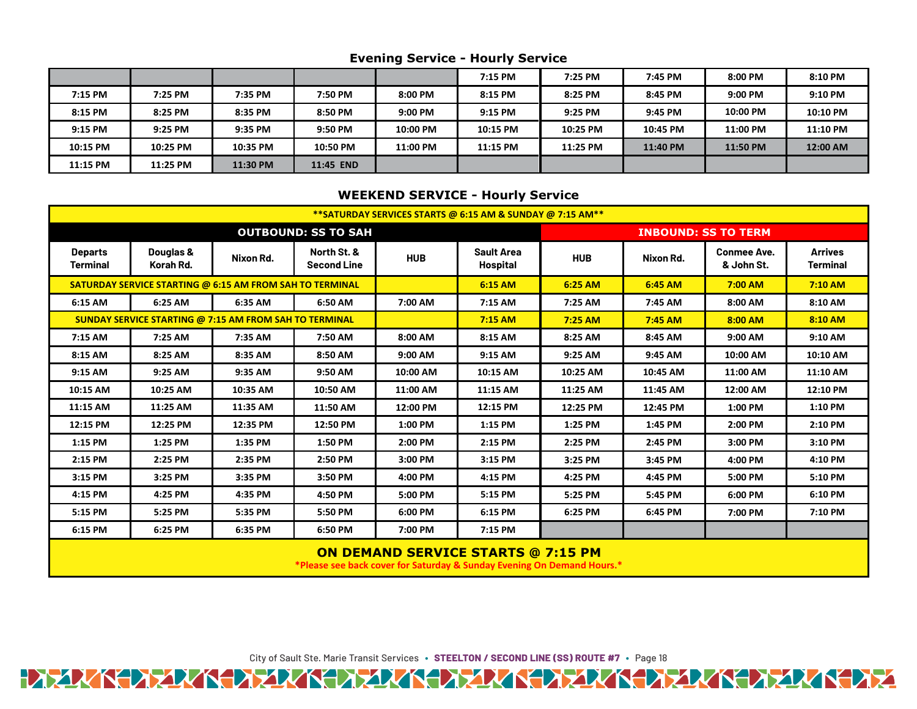# **Evening Service - Hourly Service**

|          |          |          |           |          | 7:15 PM  | 7:25 PM  | 7:45 PM  | 8:00 PM  | 8:10 PM  |
|----------|----------|----------|-----------|----------|----------|----------|----------|----------|----------|
| 7:15 PM  | 7:25 PM  | 7:35 PM  | 7:50 PM   | 8:00 PM  | 8:15 PM  | 8:25 PM  | 8:45 PM  | 9:00 PM  | 9:10 PM  |
| 8:15 PM  | 8:25 PM  | 8:35 PM  | 8:50 PM   | 9:00 PM  | 9:15 PM  | 9:25 PM  | 9:45 PM  | 10:00 PM | 10:10 PM |
| 9:15 PM  | 9:25 PM  | 9:35 PM  | 9:50 PM   | 10:00 PM | 10:15 PM | 10:25 PM | 10:45 PM | 11:00 PM | 11:10 PM |
| 10:15 PM | 10:25 PM | 10:35 PM | 10:50 PM  | 11:00 PM | 11:15 PM | 11:25 PM | 11:40 PM | 11:50 PM | 12:00 AM |
| 11:15 PM | 11:25 PM | 11:30 PM | 11:45 END |          |          |          |          |          |          |

#### **WEEKEND SERVICE - Hourly Service**

| **SATURDAY SERVICES STARTS @ 6:15 AM & SUNDAY @ 7:15 AM**       |                        |           |                                   |            |                               |                            |           |                                  |                                   |  |
|-----------------------------------------------------------------|------------------------|-----------|-----------------------------------|------------|-------------------------------|----------------------------|-----------|----------------------------------|-----------------------------------|--|
| <b>OUTBOUND: SS TO SAH</b>                                      |                        |           |                                   |            |                               | <b>INBOUND: SS TO TERM</b> |           |                                  |                                   |  |
| <b>Departs</b><br><b>Terminal</b>                               | Douglas &<br>Korah Rd. | Nixon Rd. | North St. &<br><b>Second Line</b> | <b>HUB</b> | <b>Sault Area</b><br>Hospital | <b>HUB</b>                 | Nixon Rd. | <b>Conmee Ave.</b><br>& John St. | <b>Arrives</b><br><b>Terminal</b> |  |
| <b>SATURDAY SERVICE STARTING @ 6:15 AM FROM SAH TO TERMINAL</b> |                        |           |                                   |            | 6:15 AM                       | 6:25 AM                    | 6:45 AM   | 7:00 AM                          | $7:10$ AM                         |  |
| 6:15 AM                                                         | 6:25 AM                | 6:35 AM   | 6:50 AM                           | 7:00 AM    | 7:15 AM                       | 7:25 AM                    | 7:45 AM   | 8:00 AM                          | 8:10 AM                           |  |
| <b>SUNDAY SERVICE STARTING @ 7:15 AM FROM SAH TO TERMINAL</b>   |                        |           |                                   |            | $7:15$ AM                     | $7:25$ AM                  | $7:45$ AM | 8:00 AM                          | 8:10 AM                           |  |
| 7:15 AM                                                         | 7:25 AM                | 7:35 AM   | 7:50 AM                           | 8:00 AM    | 8:15 AM                       | 8:25 AM                    | 8:45 AM   | 9:00 AM                          | 9:10 AM                           |  |
| 8:15 AM                                                         | 8:25 AM                | 8:35 AM   | 8:50 AM                           | 9:00 AM    | 9:15 AM                       | 9:25 AM                    | 9:45 AM   | 10:00 AM                         | 10:10 AM                          |  |
| 9:15 AM                                                         | 9:25 AM                | 9:35 AM   | 9:50 AM                           | 10:00 AM   | 10:15 AM                      | 10:25 AM                   | 10:45 AM  | 11:00 AM                         | 11:10 AM                          |  |
| 10:15 AM                                                        | 10:25 AM               | 10:35 AM  | 10:50 AM                          | 11:00 AM   | 11:15 AM                      | 11:25 AM                   | 11:45 AM  | 12:00 AM                         | 12:10 PM                          |  |
| 11:15 AM                                                        | 11:25 AM               | 11:35 AM  | 11:50 AM                          | 12:00 PM   | 12:15 PM                      | 12:25 PM                   | 12:45 PM  | 1:00 PM                          | 1:10 PM                           |  |
| 12:15 PM                                                        | 12:25 PM               | 12:35 PM  | 12:50 PM                          | 1:00 PM    | 1:15 PM                       | 1:25 PM                    | 1:45 PM   | 2:00 PM                          | 2:10 PM                           |  |
| 1:15 PM                                                         | 1:25 PM                | 1:35 PM   | 1:50 PM                           | 2:00 PM    | 2:15 PM                       | 2:25 PM                    | 2:45 PM   | 3:00 PM                          | 3:10 PM                           |  |
| 2:15 PM                                                         | 2:25 PM                | 2:35 PM   | 2:50 PM                           | 3:00 PM    | 3:15 PM                       | 3:25 PM                    | 3:45 PM   | 4:00 PM                          | 4:10 PM                           |  |
| 3:15 PM                                                         | 3:25 PM                | 3:35 PM   | 3:50 PM                           | 4:00 PM    | 4:15 PM                       | 4:25 PM                    | 4:45 PM   | 5:00 PM                          | 5:10 PM                           |  |
| 4:15 PM                                                         | 4:25 PM                | 4:35 PM   | 4:50 PM                           | 5:00 PM    | 5:15 PM                       | 5:25 PM                    | 5:45 PM   | 6:00 PM                          | 6:10 PM                           |  |
| 5:15 PM                                                         | 5:25 PM                | 5:35 PM   | 5:50 PM                           | 6:00 PM    | 6:15 PM                       | 6:25 PM                    | 6:45 PM   | 7:00 PM                          | 7:10 PM                           |  |
| 6:15 PM                                                         | 6:25 PM                | 6:35 PM   | 6:50 PM                           | 7:00 PM    | 7:15 PM                       |                            |           |                                  |                                   |  |

# **ON DEMAND SERVICE STARTS @ 7:15 PM**

**\*Please see back cover for Saturday & Sunday Evening On Demand Hours.\***

City of Sault Ste. Marie Transit Services **∙ STEELTON / SECOND LINE (SS) ROUTE #7 ∙** Page 18

HAZAKKA XAKKA XAKKA XAKKA XAKKA XAKKA XAKA XAKKA XIX